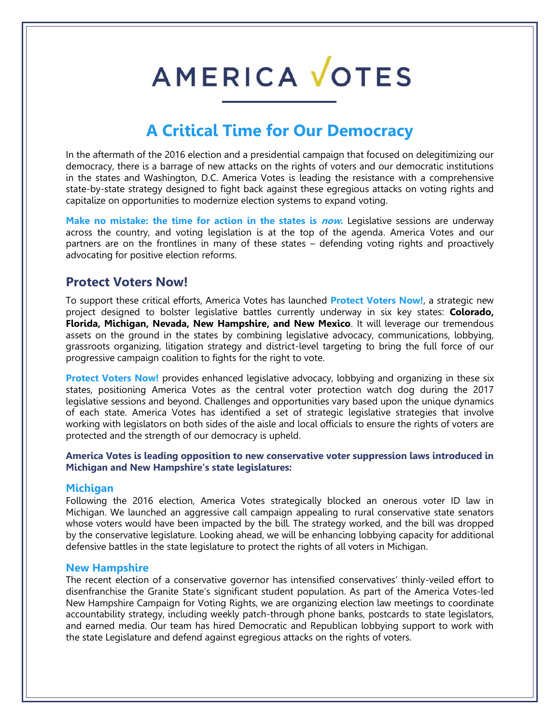# AMERICA VOTES

## **A Critical Time for Our Democracy**

In the aftermath of the 2016 election and a presidential campaign that focused on delegitimizing our democracy, there is a barrage of new attacks on the rights of voters and our democratic institutions in the states and Washington, D.C. America Votes is leading the resistance with a comprehensive state-by-state strategy designed to fight back against these egregious attacks on voting rights and capitalize on opportunities to modernize election systems to expand voting.

Make no mistake: the time for action in the states is *now*. Legislative sessions are underway across the country, and voting legislation is at the top of the agenda. America Votes and our partners are on the frontlines in many of these states – defending voting rights and proactively advocating for positive election reforms.

### **Protect Voters Now!**

To support these critical efforts, America Votes has launched **Protect Voters Now!**, a strategic new project designed to bolster legislative battles currently underway in six key states: **Colorado, Florida, Michigan, Nevada, New Hampshire, and New Mexico**. It will leverage our tremendous assets on the ground in the states by combining legislative advocacy, communications, lobbying, grassroots organizing, litigation strategy and district-level targeting to bring the full force of our progressive campaign coalition to fights for the right to vote.

**Protect Voters Now!** provides enhanced legislative advocacy, lobbying and organizing in these six states, positioning America Votes as the central voter protection watch dog during the 2017 legislative sessions and beyond. Challenges and opportunities vary based upon the unique dynamics of each state. America Votes has identified a set of strategic legislative strategies that involve working with legislators on both sides of the aisle and local officials to ensure the rights of voters are protected and the strength of our democracy is upheld.

**America Votes is leading opposition to new conservative voter suppression laws introduced in Michigan and New Hampshire's state legislatures:**

#### **Michigan**

Following the 2016 election, America Votes strategically blocked an onerous voter ID law in Michigan. We launched an aggressive call campaign appealing to rural conservative state senators whose voters would have been impacted by the bill. The strategy worked, and the bill was dropped by the conservative legislature. Looking ahead, we will be enhancing lobbying capacity for additional defensive battles in the state legislature to protect the rights of all voters in Michigan.

#### **New Hampshire**

The recent election of a conservative governor has intensified conservatives' thinly-veiled effort to disenfranchise the Granite State's significant student population. As part of the America Votes-led New Hampshire Campaign for Voting Rights, we are organizing election law meetings to coordinate accountability strategy, including weekly patch-through phone banks, postcards to state legislators, and earned media. Our team has hired Democratic and Republican lobbying support to work with the state Legislature and defend against egregious attacks on the rights of voters.